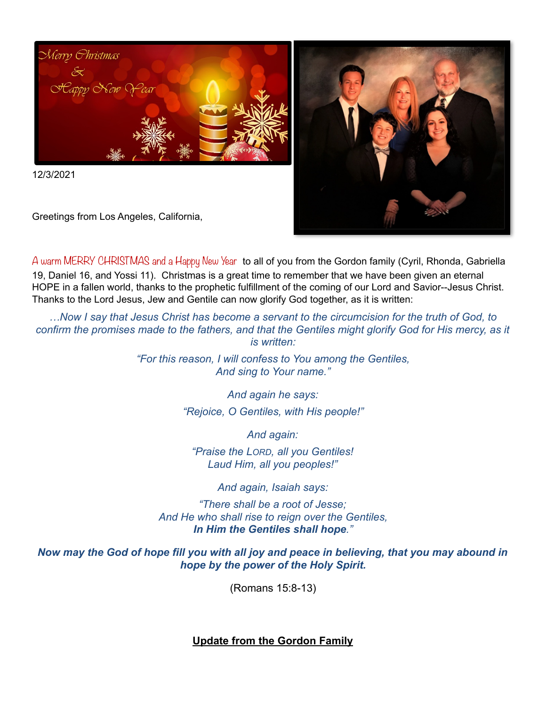

12/3/2021

Greetings from Los Angeles, California,



A warm MERRY CHRISTMAS and a Happy New Year to all of you from the Gordon family (Cyril, Rhonda, Gabriella 19, Daniel 16, and Yossi 11). Christmas is a great time to remember that we have been given an eternal HOPE in a fallen world, thanks to the prophetic fulfillment of the coming of our Lord and Savior--Jesus Christ. Thanks to the Lord Jesus, Jew and Gentile can now glorify God together, as it is written:

*…Now I say that Jesus Christ has become a servant to the circumcision for the truth of God, to confirm the promises made to the fathers, and that the Gentiles might glorify God for His mercy, as it is written:* 

> *"For this reason, I will confess to You among the Gentiles, And sing to Your name."*

> > *And again he says: "Rejoice, O Gentiles, with His people!"*

> > > *And again:*

*"Praise the LORD, all you Gentiles! Laud Him, all you peoples!"* 

*And again, Isaiah says:* 

*"There shall be a root of Jesse; And He who shall rise to reign over the Gentiles, In Him the Gentiles shall hope."* 

*Now may the God of hope fill you with all joy and peace in believing, that you may abound in hope by the power of the Holy Spirit.* 

(Romans 15:8-13)

**Update from the Gordon Family**